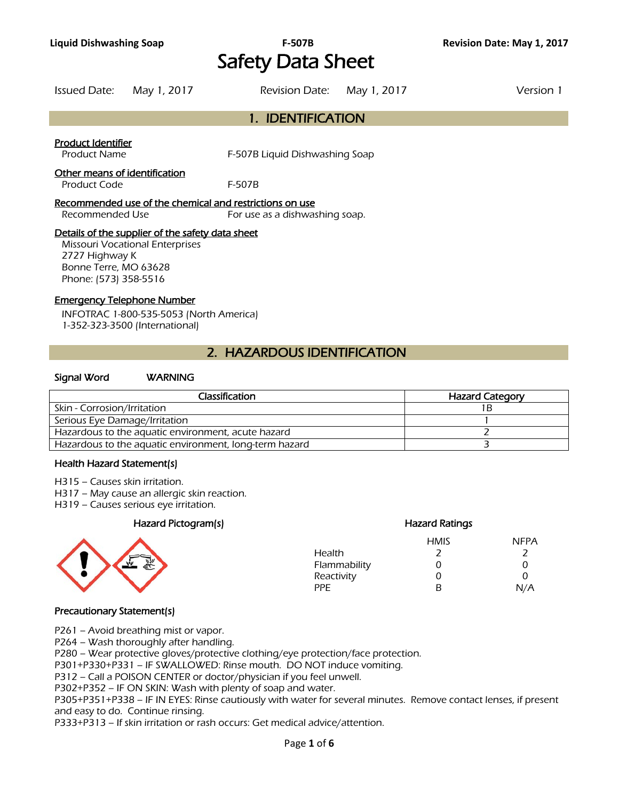# **Liquid Dishwashing Soap F-507B Revision Date: May 1, 2017** Safety Data Sheet

|                    | Issued Date: May 1, 2017 | Revision Date: May 1, 2017 | Version 1 |
|--------------------|--------------------------|----------------------------|-----------|
|                    |                          | 1. IDENTIFICATION          |           |
| Product Identifier |                          |                            |           |

Product Name **F-507B Liquid Dishwashing Soap** 

# Other means of identification

Product Code F-507B

### Recommended use of the chemical and restrictions on use

Recommended Use For use as a dishwashing soap.

# Details of the supplier of the safety data sheet

Missouri Vocational Enterprises 2727 Highway K Bonne Terre, MO 63628 Phone: (573) 358-5516

# Emergency Telephone Number

INFOTRAC 1-800-535-5053 (North America) 1-352-323-3500 (International)

# 2. HAZARDOUS IDENTIFICATION

# Signal Word WARNING

| Classification                                         | <b>Hazard Category</b> |
|--------------------------------------------------------|------------------------|
| Skin - Corrosion/Irritation                            |                        |
| Serious Eye Damage/Irritation                          |                        |
| Hazardous to the aquatic environment, acute hazard     |                        |
| Hazardous to the aquatic environment, long-term hazard |                        |
|                                                        |                        |

# Health Hazard Statement(s)

- H315 Causes skin irritation.
- H317 May cause an allergic skin reaction.
- H319 Causes serious eye irritation.

# Hazard Pictogram(s) Hazard Ratings



|              | <b>HMIS</b> | <b>NFPA</b> |
|--------------|-------------|-------------|
| Health       |             |             |
| Flammability | Ω           | 0           |
| Reactivity   | 0           | ∩           |
| PPF.         | R           | N/A         |

# Precautionary Statement(s)

P261 – Avoid breathing mist or vapor.

P264 – Wash thoroughly after handling.

P280 – Wear protective gloves/protective clothing/eye protection/face protection.

P301+P330+P331 – IF SWALLOWED: Rinse mouth. DO NOT induce vomiting.

P312 – Call a POISON CENTER or doctor/physician if you feel unwell.

P302+P352 – IF ON SKIN: Wash with plenty of soap and water.

P305+P351+P338 – IF IN EYES: Rinse cautiously with water for several minutes. Remove contact lenses, if present and easy to do. Continue rinsing.

P333+P313 – If skin irritation or rash occurs: Get medical advice/attention.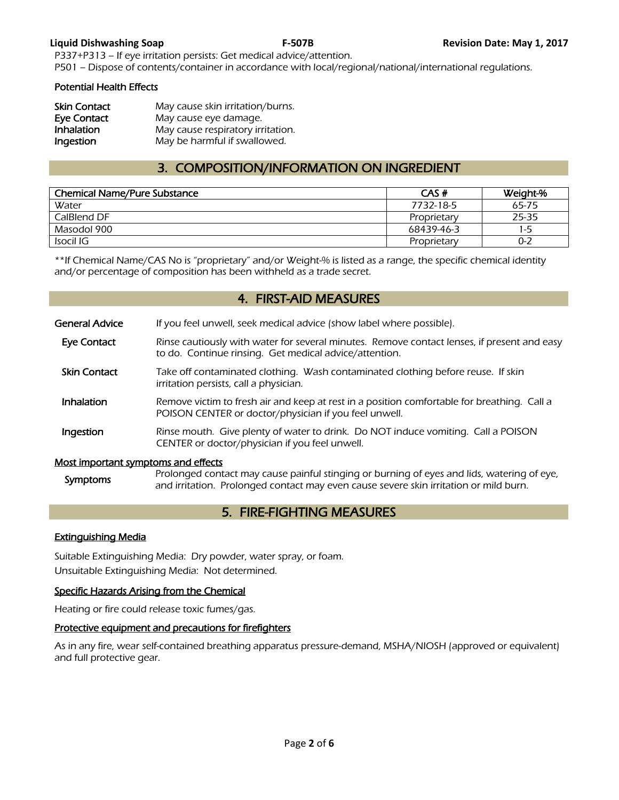P337+P313 – If eye irritation persists: Get medical advice/attention. P501 – Dispose of contents/container in accordance with local/regional/national/international regulations.

# Potential Health Effects

| <b>Skin Contact</b> | May cause skin irritation/burns.  |
|---------------------|-----------------------------------|
| <b>Eye Contact</b>  | May cause eye damage.             |
| Inhalation          | May cause respiratory irritation. |
| Ingestion           | May be harmful if swallowed.      |

# 3. COMPOSITION/INFORMATION ON INGREDIENT

| <b>Chemical Name/Pure Substance</b> | CAS#        | Weight-% |
|-------------------------------------|-------------|----------|
| Water                               | 7732-18-5   | 65-75    |
| CalBlend DF                         | Proprietary | 25-35    |
| Masodol 900                         | 68439-46-3  | $1 - 5$  |
| Isocil IG                           | Proprietary | $0 - 2$  |
|                                     |             |          |

\*\*If Chemical Name/CAS No is "proprietary" and/or Weight-% is listed as a range, the specific chemical identity and/or percentage of composition has been withheld as a trade secret.

# 4. FIRST-AID MEASURES

| General Advice                      | If you feel unwell, seek medical advice (show label where possible).                                                                                  |
|-------------------------------------|-------------------------------------------------------------------------------------------------------------------------------------------------------|
| <b>Eye Contact</b>                  | Rinse cautiously with water for several minutes. Remove contact lenses, if present and easy<br>to do. Continue rinsing. Get medical advice/attention. |
| <b>Skin Contact</b>                 | Take off contaminated clothing. Wash contaminated clothing before reuse. If skin<br>irritation persists, call a physician.                            |
| Inhalation                          | Remove victim to fresh air and keep at rest in a position comfortable for breathing. Call a<br>POISON CENTER or doctor/physician if you feel unwell.  |
| Ingestion                           | Rinse mouth. Give plenty of water to drink. Do NOT induce vomiting. Call a POISON<br>CENTER or doctor/physician if you feel unwell.                   |
| Most important symptoms and effects | Prolonged contact may cause painful stinging or burning of eves and lids, watering of eve                                                             |

# Symptoms Prolonged contact may cause painful stinging or burning of eyes and lids, watering of eye,<br>and irritation. Prolonged contact may even cause severe skin irritation or mild burn.

# 5. FIRE-FIGHTING MEASURES

# Extinguishing Media

Suitable Extinguishing Media: Dry powder, water spray, or foam. Unsuitable Extinguishing Media: Not determined.

# Specific Hazards Arising from the Chemical

Heating or fire could release toxic fumes/gas.

# Protective equipment and precautions for firefighters

As in any fire, wear self-contained breathing apparatus pressure-demand, MSHA/NIOSH (approved or equivalent) and full protective gear.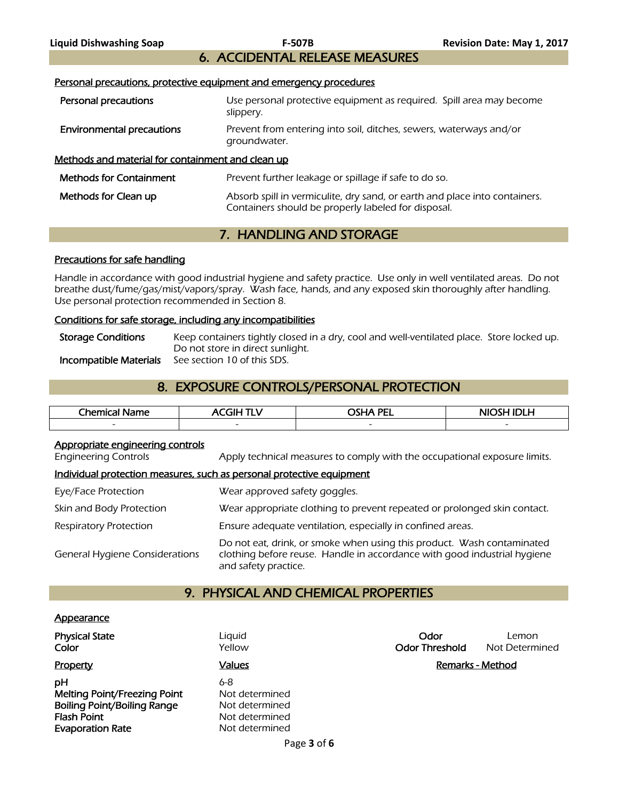# 6. ACCIDENTAL RELEASE MEASURES

### Personal precautions, protective equipment and emergency procedures

| Personal precautions                              | Use personal protective equipment as required. Spill area may become<br>slippery.                                                 |
|---------------------------------------------------|-----------------------------------------------------------------------------------------------------------------------------------|
| <b>Environmental precautions</b>                  | Prevent from entering into soil, ditches, sewers, waterways and/or<br>groundwater.                                                |
| Methods and material for containment and clean up |                                                                                                                                   |
| <b>Methods for Containment</b>                    | Prevent further leakage or spillage if safe to do so.                                                                             |
| Methods for Clean up                              | Absorb spill in vermiculite, dry sand, or earth and place into containers.<br>Containers should be properly labeled for disposal. |

# 7. HANDLING AND STORAGE

# Precautions for safe handling

Handle in accordance with good industrial hygiene and safety practice. Use only in well ventilated areas. Do not breathe dust/fume/gas/mist/vapors/spray. Wash face, hands, and any exposed skin thoroughly after handling. Use personal protection recommended in Section 8.

### Conditions for safe storage, including any incompatibilities

| <b>Storage Conditions</b> | Keep containers tightly closed in a dry, cool and well-ventilated place. Store locked up. |
|---------------------------|-------------------------------------------------------------------------------------------|
|                           | Do not store in direct sunlight.                                                          |
| Incompatible Materials    | See section 10 of this SDS.                                                               |

# 8. EXPOSURE CONTROLS/PERSONAL PROTECTION

| Chemical<br>Name<br>л | . THE $\overline{\phantom{a}}$<br>-- | <b>OSHA PEI</b><br>---   | NIOSH IDI H              |
|-----------------------|--------------------------------------|--------------------------|--------------------------|
|                       | $\overline{\phantom{a}}$             | $\overline{\phantom{0}}$ | $\overline{\phantom{a}}$ |
|                       |                                      |                          |                          |

# Appropriate engineering controls

Engineering Controls Apply technical measures to comply with the occupational exposure limits.

# Individual protection measures, such as personal protective equipment

| Eye/Face Protection                   | Wear approved safety goggles.                                                                                                                                              |
|---------------------------------------|----------------------------------------------------------------------------------------------------------------------------------------------------------------------------|
| Skin and Body Protection              | Wear appropriate clothing to prevent repeated or prolonged skin contact.                                                                                                   |
| <b>Respiratory Protection</b>         | Ensure adequate ventilation, especially in confined areas.                                                                                                                 |
| <b>General Hygiene Considerations</b> | Do not eat, drink, or smoke when using this product. Wash contaminated<br>clothing before reuse. Handle in accordance with good industrial hygiene<br>and safety practice. |

# 9. PHYSICAL AND CHEMICAL PROPERTIES

### **Appearance**

| <b>Physical State</b><br>Color                                                                                                   | Liguid<br>Yellow                                                            | Odor<br><b>Odor Threshold</b> | Lemon<br>Not Determined |
|----------------------------------------------------------------------------------------------------------------------------------|-----------------------------------------------------------------------------|-------------------------------|-------------------------|
| Property                                                                                                                         | <b>Values</b>                                                               | Remarks - Method              |                         |
| pН<br><b>Melting Point/Freezing Point</b><br><b>Boiling Point/Boiling Range</b><br><b>Flash Point</b><br><b>Evaporation Rate</b> | 6-8<br>Not determined<br>Not determined<br>Not determined<br>Not determined |                               |                         |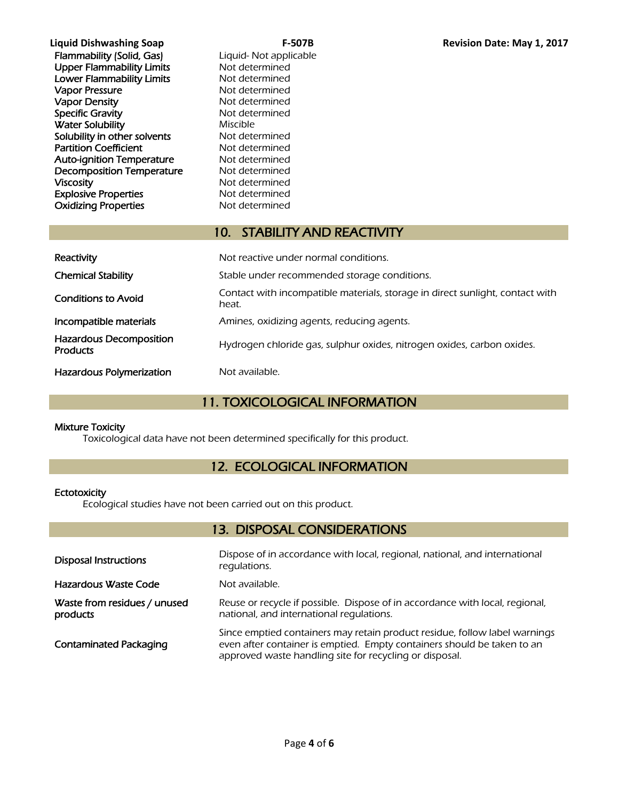| Liquid Dishwashing Soap          | F-               |
|----------------------------------|------------------|
| <b>Flammability (Solid, Gas)</b> | Liquid- Not appl |
| <b>Upper Flammability Limits</b> | Not determined   |
| <b>Lower Flammability Limits</b> | Not determined   |
| <b>Vapor Pressure</b>            | Not determined   |
| <b>Vapor Density</b>             | Not determined   |
| <b>Specific Gravity</b>          | Not determined   |
| <b>Water Solubility</b>          | Miscible         |
| Solubility in other solvents     | Not determined   |
| <b>Partition Coefficient</b>     | Not determined   |
| <b>Auto-ignition Temperature</b> | Not determined   |
| <b>Decomposition Temperature</b> | Not determined   |
| <b>Viscosity</b>                 | Not determined   |
| <b>Explosive Properties</b>      | Not determined   |
| <b>Oxidizing Properties</b>      | Not determined   |
|                                  |                  |

# applicable

# 10. STABILITY AND REACTIVITY

| Reactivity                                        | Not reactive under normal conditions.                                                  |  |  |
|---------------------------------------------------|----------------------------------------------------------------------------------------|--|--|
| <b>Chemical Stability</b>                         | Stable under recommended storage conditions.                                           |  |  |
| <b>Conditions to Avoid</b>                        | Contact with incompatible materials, storage in direct sunlight, contact with<br>heat. |  |  |
| Incompatible materials                            | Amines, oxidizing agents, reducing agents.                                             |  |  |
| <b>Hazardous Decomposition</b><br><b>Products</b> | Hydrogen chloride gas, sulphur oxides, nitrogen oxides, carbon oxides.                 |  |  |
| Hazardous Polymerization                          | Not available.                                                                         |  |  |

# 11. TOXICOLOGICAL INFORMATION

# Mixture Toxicity

Toxicological data have not been determined specifically for this product.

# 12. ECOLOGICAL INFORMATION

# **Ectotoxicity**

Ecological studies have not been carried out on this product.

# 13. DISPOSAL CONSIDERATIONS

| <b>Disposal Instructions</b>             | Dispose of in accordance with local, regional, national, and international<br>regulations.                                                                                                                       |
|------------------------------------------|------------------------------------------------------------------------------------------------------------------------------------------------------------------------------------------------------------------|
| Hazardous Waste Code                     | Not available.                                                                                                                                                                                                   |
| Waste from residues / unused<br>products | Reuse or recycle if possible. Dispose of in accordance with local, regional,<br>national, and international regulations.                                                                                         |
| <b>Contaminated Packaging</b>            | Since emptied containers may retain product residue, follow label warnings<br>even after container is emptied. Empty containers should be taken to an<br>approved waste handling site for recycling or disposal. |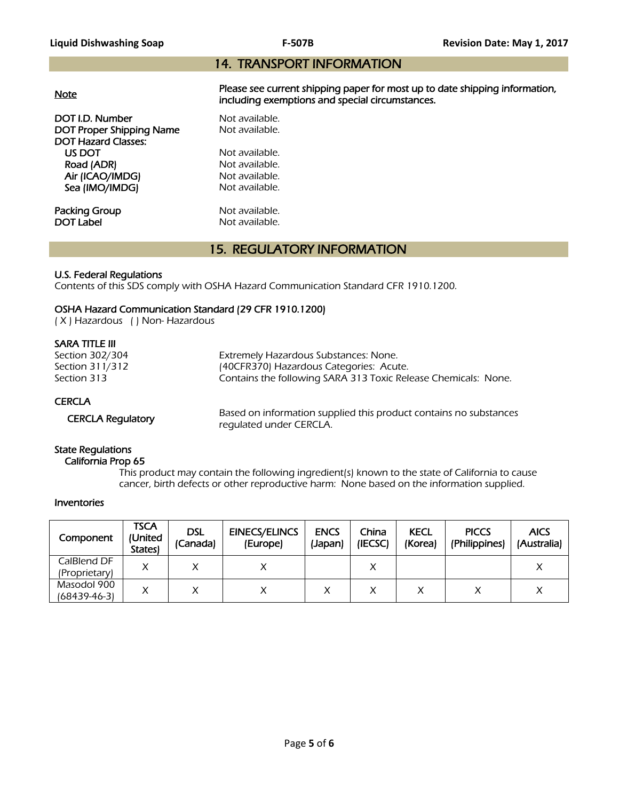# 14. TRANSPORT INFORMATION

|--|

**DOT I.D. Number Not available.**<br> **DOT Proper Shipping Name** Not available. DOT Proper Shipping Name DOT Hazard Classes: US DOT Not available.<br>
Road (ADR) Not available.

Road (ADR) Air (ICAO/IMDG) Not available. Sea (IMO/IMDG) Not available.

Packing Group Not available.<br>
DOT Label Mot available.

Please see current shipping paper for most up to date shipping information, including exemptions and special circumstances.

Not available.

# 15. REGULATORY INFORMATION

# U.S. Federal Regulations

Contents of this SDS comply with OSHA Hazard Communication Standard CFR 1910.1200.

# OSHA Hazard Communication Standard (29 CFR 1910.1200)

( X ) Hazardous ( ) Non- Hazardous

# SARA TITLE III

| Section 302/304<br>Section 311/312<br>Section 313 | Extremely Hazardous Substances: None.<br>(40CFR370) Hazardous Categories: Acute.<br>Contains the following SARA 313 Toxic Release Chemicals: None. |
|---------------------------------------------------|----------------------------------------------------------------------------------------------------------------------------------------------------|
| <b>CERCLA</b>                                     |                                                                                                                                                    |
| <b>CERCLA Regulatory</b>                          | Based on information supplied this product contains no substances<br>rogulated under CEDCLA                                                        |

regulated under CERCLA.

# State Regulations

### California Prop 65

 This product may contain the following ingredient(s) known to the state of California to cause cancer, birth defects or other reproductive harm: None based on the information supplied.

# Inventories

| Component     | TSCA<br>(United<br><b>States</b> | <b>DSL</b><br>(Canada) | <b>EINECS/ELINCS</b><br>(Europe) | <b>ENCS</b><br>(Japan) | China<br>(IECSC) | <b>KECL</b><br>(Korea) | <b>PICCS</b><br>(Philippines) | <b>AICS</b><br>(Australia) |
|---------------|----------------------------------|------------------------|----------------------------------|------------------------|------------------|------------------------|-------------------------------|----------------------------|
| CalBlend DF   |                                  |                        |                                  |                        | ν<br>↗           |                        |                               |                            |
| (Proprietary) |                                  |                        |                                  |                        |                  |                        |                               |                            |
| Masodol 900   |                                  |                        |                                  |                        | Χ                |                        |                               |                            |
| (68439-46-3)  |                                  |                        |                                  |                        |                  |                        |                               |                            |